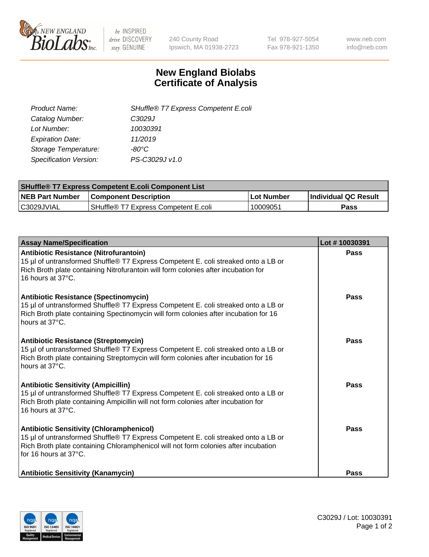

be INSPIRED drive DISCOVERY stay GENUINE

240 County Road Ipswich, MA 01938-2723 Tel 978-927-5054 Fax 978-921-1350 www.neb.com info@neb.com

## **New England Biolabs Certificate of Analysis**

| Product Name:           | SHuffle® T7 Express Competent E.coli |
|-------------------------|--------------------------------------|
| Catalog Number:         | C <sub>3029</sub> J                  |
| Lot Number:             | 10030391                             |
| <b>Expiration Date:</b> | 11/2019                              |
| Storage Temperature:    | -80°C                                |
| Specification Version:  | PS-C3029J v1.0                       |
|                         |                                      |

| <b>SHuffle<sup>®</sup> T7 Express Competent E.coli Component List</b> |                                      |            |                             |  |
|-----------------------------------------------------------------------|--------------------------------------|------------|-----------------------------|--|
| <b>NEB Part Number</b>                                                | <b>Component Description</b>         | Lot Number | <b>Individual QC Result</b> |  |
| C3029JVIAL                                                            | SHuffle® T7 Express Competent E.coli | 10009051   | Pass                        |  |

| <b>Assay Name/Specification</b>                                                                                                                                                                                                                       | Lot #10030391 |
|-------------------------------------------------------------------------------------------------------------------------------------------------------------------------------------------------------------------------------------------------------|---------------|
| <b>Antibiotic Resistance (Nitrofurantoin)</b><br>15 µl of untransformed Shuffle® T7 Express Competent E. coli streaked onto a LB or<br>Rich Broth plate containing Nitrofurantoin will form colonies after incubation for<br>16 hours at 37°C.        | Pass          |
| <b>Antibiotic Resistance (Spectinomycin)</b><br>15 µl of untransformed Shuffle® T7 Express Competent E. coli streaked onto a LB or<br>Rich Broth plate containing Spectinomycin will form colonies after incubation for 16<br>hours at 37°C.          | Pass          |
| <b>Antibiotic Resistance (Streptomycin)</b><br>15 µl of untransformed Shuffle® T7 Express Competent E. coli streaked onto a LB or<br>Rich Broth plate containing Streptomycin will form colonies after incubation for 16<br>hours at 37°C.            | Pass          |
| <b>Antibiotic Sensitivity (Ampicillin)</b><br>15 µl of untransformed Shuffle® T7 Express Competent E. coli streaked onto a LB or<br>Rich Broth plate containing Ampicillin will not form colonies after incubation for<br>16 hours at 37°C.           | Pass          |
| <b>Antibiotic Sensitivity (Chloramphenicol)</b><br>15 µl of untransformed Shuffle® T7 Express Competent E. coli streaked onto a LB or<br>Rich Broth plate containing Chloramphenicol will not form colonies after incubation<br>for 16 hours at 37°C. | Pass          |
| <b>Antibiotic Sensitivity (Kanamycin)</b>                                                                                                                                                                                                             | <b>Pass</b>   |